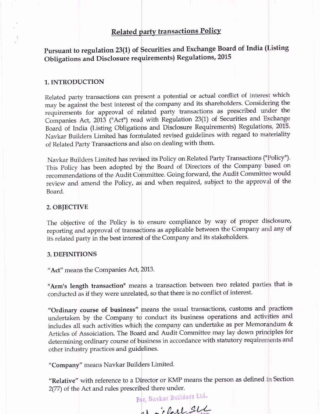#### Related party transactions Policy

Pursuant to regulation 23(1) of Securities and Exchange Board of India (Listing Obligations and Disclosure requirements) Regulations, 2015

#### 1. INTRODUCTION

Related party transactions can present a potential or actual conflict of interest which may be against the best interest of the company and its shareholders. Considering the requirements for approval of related party transactions as prescribed under the Companies Act, 2013 ("Act") read with Regulation 23(1) of Securities and Exchange Board of India (Listing Obligations and Disclosure Requirements) Regulations, 2015. Navkar Builders Limited has formulated revised guidelines with regard to materiality of Related Party Transactions and also on dealing with them.

Navkar Builders Limited has revised its Policy on Related Party Transactions ("Policy"). This Policy has been adopted by the Board of Directors of the Company based on recommendations of the Audit Committee. Going forward, the Audit Committee would review and amend the Policy, as and when required, subject to the approval of the Board.

#### 2. OBJECTIVE

The objective of the Policy is to ensure compliance by way of proper disclosure, reporting and approval of transactions as applicable between the Company and any of its related party in the best interest of the Company and its stakeholders.

#### 3. DEFINITIONS

" Act" means the Companies Act, 2013.

"Arm's length transaction" means a transaction between two related parties that is conducted as if they were unrelated, so that there is no conflict of interest.

"Ordinary course of business" means the usual transactions, customs and practices undertaken by the Company to conduct its business operations and activities and includes all such activities which the company can undertake as per Memorandum & Articles of Assoiciation. The Board and Audit Committee may lay down principles for determining ordinary course of business in accordance with statutory requirements and other industry practices and guidelines.

"Company" means Navkar Builders Limited.

"Relative" with reference to a Director or KMP means the person as defined in Section 2(77) of the Act and rules prescribed there under.

For, Navkar Builders Ltd.

 $h_{\mu}$  is last SLL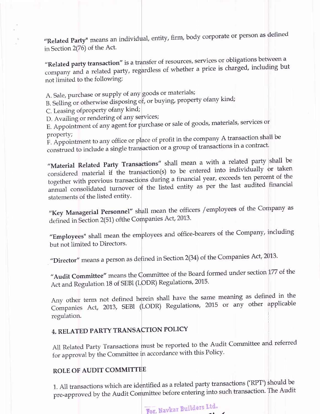"Related Party" means an individual, entity, firm, body corporate or person as defined in Section 2(76) of the Act.

"Related party transaction" is a transfer of resources, services or obligations between a company and a related party, regardless of whether a price is charged, including but not limited to the following:

A. Sale, purchase or supply of any goods or materials;

B. Selling or otherwise disposing of, or buying, property ofany kind;

C. Leasing of property of any kind;

D. Avaiiing or rendering of any services;

E. Appointment of any agent for purchase or sale of goods, materials, services or propertY;

F. Appointment to any office or place of profit in the company A transaction shall be construed to include a single transaction or a group of transactions in a contract.

"Material Related Party Transactions" shall mean a with a related party shall be considered material if the transaction(s) to be entered into individually  $\sigma$ r taken together with previous transactions during a financial year, exceeds ten percent of the annual consolidated turnover of the listed entity as per the last audited financial statements of the listed entity.

"Key Managerial Personnel" shall mean the officers / employees of the Company as defined in Section 2(51) of the Companies Act, 2013.

"Employees" shall mean the employees and office-bearers of the Company, including but not limited to Directors.

"Director" means a person as defined in Section 2(34) of the Companies Act, 2013.

"Audit Committee" means the Committee of the Board formed under section 177 of the Act and Regulation 18 of SEBI (LODR) Regulations, 2015.

Any other term not defined herein shall have the same meaning as defined in the Companies Act, 2013, SEBI (LODR) Regulations, 2015 or any other applicable regulation.

## 4. RELATED PARTY TRANSACTION POLICY

A1l Related Party Transactions must be reported to the Audit Committee and referred for approval by ihe Committee in accordance with this Policy.

## ROLE OF AUDIT COMMITTEE

1. All transactions which are identified as a related party transactions ('RPT') should be pre-approved by the Audit Committee before entering into such transaction. The Audit

> For, Navkar Builders Ltd.  $\overline{\phantom{a}}$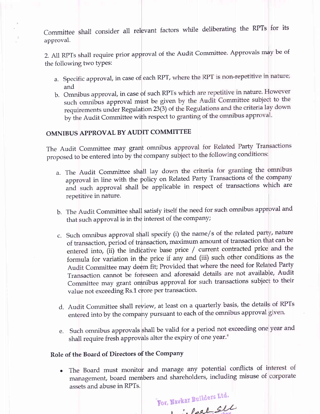Committee shall consider all relevant factors while deliberating the RPTs for its approval.

2. All RPTs shall require prior approval of the Audit Committee. Approvals may be of the following two types:

- a. Specific approval, in case of each RPT, and
- b. Omnibus approval, in case of such RPTs such omnibus approval must be given by the Audit Committee subject to the requirements under Regulation 23(3) of the Regulations and the criteria lay down by the Audit Committee with respect to granting of the omnibus approval.

## OMNIBUS APPROVAL BY AUDIT COMMITTEE

The Audit Committee may grant omnibus approval for Related Party Transactions proposed to be entered into by the company subject to the following conditions:

- a. The Audit Committee shall lay down the criteria for granting the omnibus approval in line with the policy on Related Party Transactions of the company and such approval shall be applicable in respect of transactions which are repetitive in nature.
- b. The Audit Committee shall satisfy itself the need for such omnibus approval and that such approval is in the interest of the company;
- c. Such omnibus approval shall specify (i) the name/s of the related party, nature of transaction, period of transaction, maximum amount of transaction that can be entered into, (ii) the indicative base price / current contracted price and the formula for variation in the price if any and (iii) such other conditions as the Audit Committee may deem fit; Provided that where the need for Related Party Transaction cannot be foreseen and aforesaid details are not available, Audit Committee may grant omnibus approval for such transactions subject to their value not exceeding Rs.1 crore per transaction.
- d. Audit Committee shall review, at least on a quarterly basis, the details of RPTs entered into by the company pursuant to each of the omnibus approval given.
- e. such omnibus approvals shall be valid for a period not exceeding one year and shall require fresh approvals alter the expiry of one year."

#### Role of the Board of Directors of the Company

The Board must monitor and manage any potential conflicts of interest of management, board members and shareholders, including misuse of corporate assets and abuse in RPTs.

For, Navkar Builders Ltd.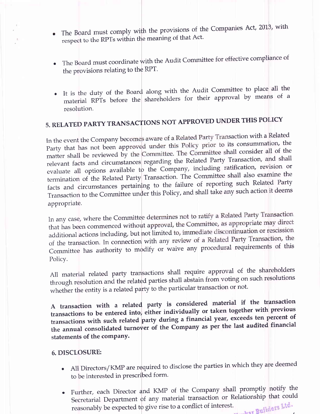- The Board must comply with the provisions of the Companies Act, 2013, with rile beds a manimum that meaning of that Act.
- . The Board must coordinate with the Audit Committee for effective compliance of the provisions relating to the RPT.
- It is the duty of the Board along with the Audit Committee to place all the material RPTs before the shareholders for their approval by means of a resolution.

# 5. RELATED PARTY TRANSACTIONS NOT APPROVED UNDER THIS POLICY

In the event the Company becomes aware of a Related Party Transaction with a Related Party that has not been approved under this Policy prior to its consummation, the matter shall be reviewed by the Committee. The Committee shall consider all of the relevant facts and circumstances regarding the Related Party Transaction, and shall evaluate all options available to the Company, including ratification, revision or termination of the Related Party Transaction. The Committee shall also examine the facts and circumstances pertaining to the failure of reporting such Related Party Transaction to the Committee under this Policy, and shall take any such action it deems appropriate.

In any case, where the Committee determines not to ratify a Related Party Transaction that has been commenced without approval, the Committee, as appropriate may direct additional actions including, but not limited to, immediate discontinuation or rescission of the transaction. In connection with any review of a Related Party Transaction, the Committee has authority to modify or waive any procedural requirements of this Policy.

All material related party transactions shall require approval of the shareholders through resolution and the related parties shall abstain from voting on such resolutions whether the entity is a related party to the particular transaction or not.

A transaction with a related party is considered material if the transaction transactions to be entered into, either individually or taken together with previous transactions with such related party during a financial year, exceeds ten percent of the annual consolidated turnover of the Company as per the last audited financial statements of the company.

#### 6. DISCLOSURE:

- All Directors/KMP are required to disclose the parties in which they are deemed to be interested in prescribed form'
- Further, each Director and KMP of the Company shall promptly notify the Secretarial Department of any material transaction or Relationship that could reasonably be expected to give rise to a conflict of interest. lders Ltd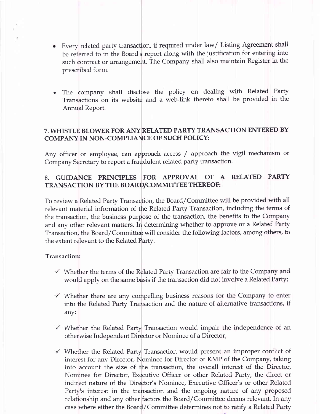- Every related party transaction, if required under law/ Listing Agreement shall  $\bullet$ be referred to in the Board's report along with the justification for entering into such contract or arrangement. The Company shall also maintain Register in the prescribed form.
- The company shall disclose the policy on dealing with Related Party Transactions on its website and a web-link thereto shall be provided in the Annual Report.

## 7. WHISTLE BLOWER FOR ANY RELATED PARTY TRANSACTION ENTERED BY COMPANY IN NON-COMPLIANCE OF SUCH POLICY:

Any officer or employee, can approach access / approach the vigil mechanism or Company Secretary to report a fraudulent related party transaction.

## 8. GUIDANCE PRINCIPLES FOR APPROVAL OF A RELATED PARTY TRANSACTION BY THE BOARD/COMMITTEE THEREOF:

To review a Related Party Transaction, the Board/Committee will be provided with all relevant material information of the Related Party Transaction, including the terms of the transaction, the business purpose of the transaction, the benefits to the Company and any other relevant matters. In determining whether to approve or a Related Party Transaction, the Board/Committee will consider the following factors, among others, to the extent relevant to the Related Partv.

#### Transaction:

- $\checkmark$  Whether the terms of the Related Party Transaction are fair to the Company and would apply on the same basis if the transaction did not involve a Related Party;
- $\checkmark$  Whether there are any compelling business reasons for the Company to enter into the Related Party Transaction and the nature of alterrnative transactions, if any;
- $\checkmark$  Whether the Related Party Transaction would impair the independence of an otherwise Independent Director or Nominee of a Director;
- $\checkmark$  Whether the Related Party Transaction would present an improper conflict of interest for any Director, Nominee for Director or KMP of the Company, taking into account the size of the transaction, the overall interest of the Director, Nominee for Director, Executive Officer or other Related Party, the direct or indirect nature of the Director's Nominee, Executive Officer's or other Related Party's interest in the transaction and the ongoing nature of any proposed relationship and any other factors the Board/Committee deems relevant. In any case where either the Board/Committee determines not to ratify a Related Party